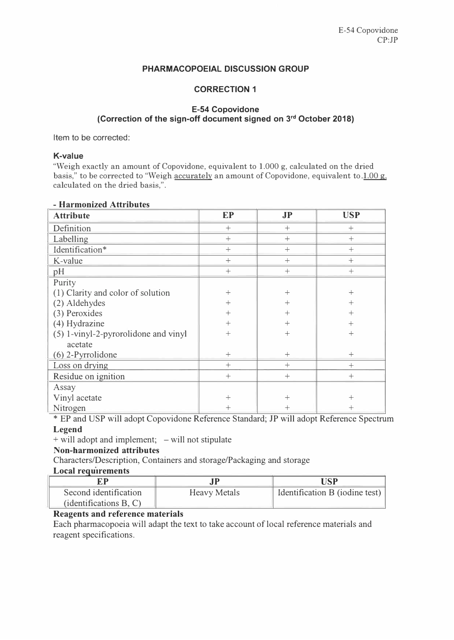#### **PHARMACOPOEIAL DISCUSSION GROUP**

# **CORRECTION 1**

## **E-54 Copovidone (Correction of the sign-off document signed on <sup>3</sup> rd October 2018)**

Item to be corrected:

#### **K-value**

"Weigh exactly an amount of Copovidone, equivalent to 1.000 g, calculated on the dried basis," to be corrected to "Weigh accurately an amount of Copovidone, equivalent to 1.00 g, calculated on the dried basis,".

| <b>Attribute</b>                     | <b>EP</b>       | JP     | <b>USP</b>     |
|--------------------------------------|-----------------|--------|----------------|
| Definition                           | $^{+}$          | $^{+}$ | $^{+}$         |
| Labelling                            | $\! + \!\!\!\!$ | $+$    | $+$            |
| Identification*                      | $+$             | $+$    | $+$            |
| K-value                              | $+$             | $+$    | $^{+}$         |
| pH                                   | $^{+}$          | $^{+}$ | $^{+}$         |
| Purity                               |                 |        |                |
| (1) Clarity and color of solution    | $+$             | $^{+}$ | $^{+}$         |
| (2) Aldehydes                        | $^{+}$          | $^{+}$ | $^{+}$         |
| (3) Peroxides                        | $^{+}$          | $^{+}$ | $^{+}$         |
| (4) Hydrazine                        | $^{+}$          | $^{+}$ | $^{+}$         |
| (5) 1-vinyl-2-pyrorolidone and vinyl | $^{+}$          | $^{+}$ | $\overline{+}$ |
| acetate                              |                 |        |                |
| $(6)$ 2-Pyrrolidone                  | $^{+}$          | $^{+}$ | $^{+}$         |
| Loss on drying                       | $^{+}$          | $+$    | $^{+}$         |
| Residue on ignition                  | $+$             | $^{+}$ | $^{+}$         |
| Assay                                |                 |        |                |
| Vinyl acetate                        | $^{+}$          | $^{+}$ | $^+$           |
| Nitrogen                             |                 | $^+$   |                |

#### **- Harmonized Attributes**

\* EP and USP will adopt Copovidone Reference Standard; JP will adopt Reference Spectrum **Legend**

 $+$  will adopt and implement;  $-$  will not stipulate

# **Non-harmonized attributes**

Characters/Description, Containers and storage/Packaging and storage

# **Local requirements**

|                        |                     | USP                                        |
|------------------------|---------------------|--------------------------------------------|
| Second identification  | <b>Heavy Metals</b> | Identification B (iodine test) $\parallel$ |
| (identifications B, C) |                     |                                            |

## **Reagents and reference materials**

Each pharmacopoeia will adapt the text to take account of local reference materials and reagent specifications.